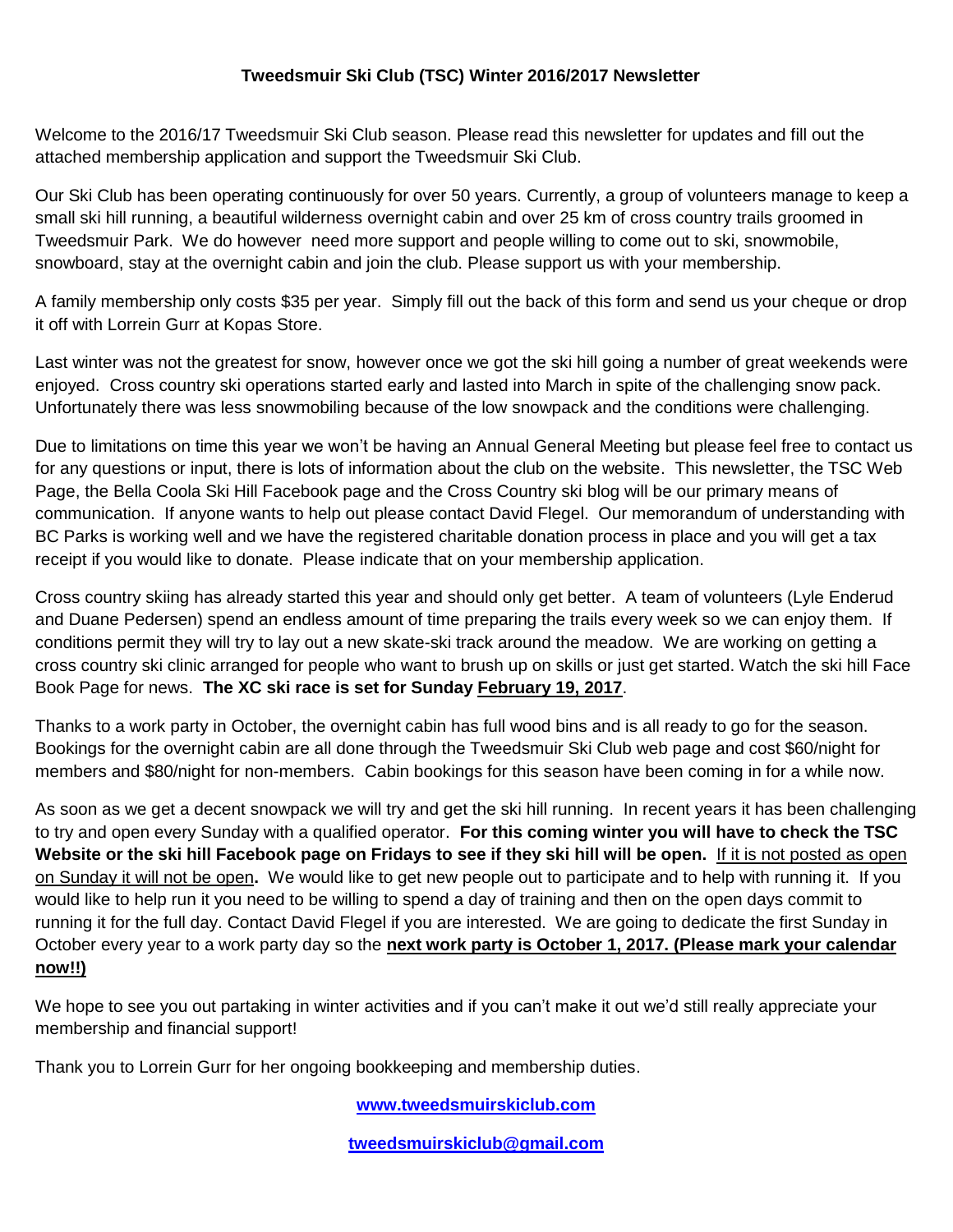## **Tweedsmuir Ski Club (TSC) Winter 2016/2017 Newsletter**

Welcome to the 2016/17 Tweedsmuir Ski Club season. Please read this newsletter for updates and fill out the attached membership application and support the Tweedsmuir Ski Club.

Our Ski Club has been operating continuously for over 50 years. Currently, a group of volunteers manage to keep a small ski hill running, a beautiful wilderness overnight cabin and over 25 km of cross country trails groomed in Tweedsmuir Park. We do however need more support and people willing to come out to ski, snowmobile, snowboard, stay at the overnight cabin and join the club. Please support us with your membership.

A family membership only costs \$35 per year. Simply fill out the back of this form and send us your cheque or drop it off with Lorrein Gurr at Kopas Store.

Last winter was not the greatest for snow, however once we got the ski hill going a number of great weekends were enjoyed. Cross country ski operations started early and lasted into March in spite of the challenging snow pack. Unfortunately there was less snowmobiling because of the low snowpack and the conditions were challenging.

Due to limitations on time this year we won't be having an Annual General Meeting but please feel free to contact us for any questions or input, there is lots of information about the club on the website. This newsletter, the TSC Web Page, the Bella Coola Ski Hill Facebook page and the Cross Country ski blog will be our primary means of communication. If anyone wants to help out please contact David Flegel. Our memorandum of understanding with BC Parks is working well and we have the registered charitable donation process in place and you will get a tax receipt if you would like to donate. Please indicate that on your membership application.

Cross country skiing has already started this year and should only get better. A team of volunteers (Lyle Enderud and Duane Pedersen) spend an endless amount of time preparing the trails every week so we can enjoy them. If conditions permit they will try to lay out a new skate-ski track around the meadow. We are working on getting a cross country ski clinic arranged for people who want to brush up on skills or just get started. Watch the ski hill Face Book Page for news. **The XC ski race is set for Sunday February 19, 2017**.

Thanks to a work party in October, the overnight cabin has full wood bins and is all ready to go for the season. Bookings for the overnight cabin are all done through the Tweedsmuir Ski Club web page and cost \$60/night for members and \$80/night for non-members. Cabin bookings for this season have been coming in for a while now.

As soon as we get a decent snowpack we will try and get the ski hill running. In recent years it has been challenging to try and open every Sunday with a qualified operator. **For this coming winter you will have to check the TSC Website or the ski hill Facebook page on Fridays to see if they ski hill will be open.** If it is not posted as open on Sunday it will not be open**.** We would like to get new people out to participate and to help with running it. If you would like to help run it you need to be willing to spend a day of training and then on the open days commit to running it for the full day. Contact David Flegel if you are interested. We are going to dedicate the first Sunday in October every year to a work party day so the **next work party is October 1, 2017. (Please mark your calendar now!!)**

We hope to see you out partaking in winter activities and if you can't make it out we'd still really appreciate your membership and financial support!

Thank you to Lorrein Gurr for her ongoing bookkeeping and membership duties.

**[www.tweedsmuirskiclub.com](http://www.tweedsmuirskiclub.com/)**

**[tweedsmuirskiclub@gmail.com](mailto:tweedsmuirskiclub@gmail.com)**